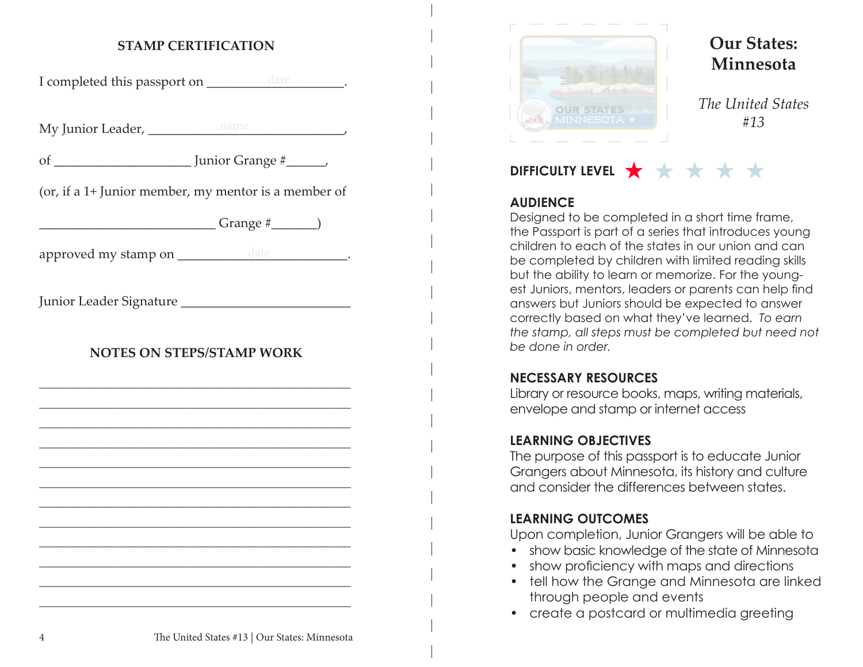# **STAMP CERTIFICATION**

I completed this passport on \_\_\_\_\_\_\_\_\_\_\_\_\_\_\_\_\_\_\_\_\_\_.

My Junior Leader, \_\_\_\_\_\_\_\_\_\_\_\_\_\_\_\_\_\_\_\_\_\_\_\_\_\_\_\_\_\_, name

of \_\_\_\_\_\_\_\_\_\_\_\_\_\_\_\_\_\_\_\_\_ Junior Grange #\_\_\_\_\_\_,

(or, if a 1+ Junior member, my mentor is a member of

 $Grange \#$  (

approved my stamp on \_\_\_\_\_\_\_\_\_\_\_\_\_\_\_\_\_\_\_\_\_\_\_\_\_\_\_\_\_\_\_\_\_.

Junior Leader Signature \_\_\_\_\_\_\_\_\_\_\_\_\_\_\_\_\_\_\_\_\_\_\_\_\_\_

# **NOTES ON STEPS/STAMP WORK**

\_\_\_\_\_\_\_\_\_\_\_\_\_\_\_\_\_\_\_\_\_\_\_\_\_\_\_\_\_\_\_\_\_\_\_\_\_\_\_\_\_\_\_\_\_\_\_\_\_\_\_\_ \_\_\_\_\_\_\_\_\_\_\_\_\_\_\_\_\_\_\_\_\_\_\_\_\_\_\_\_\_\_\_\_\_\_\_\_\_\_\_\_\_\_\_\_\_\_\_\_\_\_\_\_ \_\_\_\_\_\_\_\_\_\_\_\_\_\_\_\_\_\_\_\_\_\_\_\_\_\_\_\_\_\_\_\_\_\_\_\_\_\_\_\_\_\_\_\_\_\_\_\_\_\_\_\_ \_\_\_\_\_\_\_\_\_\_\_\_\_\_\_\_\_\_\_\_\_\_\_\_\_\_\_\_\_\_\_\_\_\_\_\_\_\_\_\_\_\_\_\_\_\_\_\_\_\_\_\_ \_\_\_\_\_\_\_\_\_\_\_\_\_\_\_\_\_\_\_\_\_\_\_\_\_\_\_\_\_\_\_\_\_\_\_\_\_\_\_\_\_\_\_\_\_\_\_\_\_\_\_\_ \_\_\_\_\_\_\_\_\_\_\_\_\_\_\_\_\_\_\_\_\_\_\_\_\_\_\_\_\_\_\_\_\_\_\_\_\_\_\_\_\_\_\_\_\_\_\_\_\_\_\_\_ \_\_\_\_\_\_\_\_\_\_\_\_\_\_\_\_\_\_\_\_\_\_\_\_\_\_\_\_\_\_\_\_\_\_\_\_\_\_\_\_\_\_\_\_\_\_\_\_\_\_\_\_ \_\_\_\_\_\_\_\_\_\_\_\_\_\_\_\_\_\_\_\_\_\_\_\_\_\_\_\_\_\_\_\_\_\_\_\_\_\_\_\_\_\_\_\_\_\_\_\_\_\_\_\_ \_\_\_\_\_\_\_\_\_\_\_\_\_\_\_\_\_\_\_\_\_\_\_\_\_\_\_\_\_\_\_\_\_\_\_\_\_\_\_\_\_\_\_\_\_\_\_\_\_\_\_\_ \_\_\_\_\_\_\_\_\_\_\_\_\_\_\_\_\_\_\_\_\_\_\_\_\_\_\_\_\_\_\_\_\_\_\_\_\_\_\_\_\_\_\_\_\_\_\_\_\_\_\_\_ \_\_\_\_\_\_\_\_\_\_\_\_\_\_\_\_\_\_\_\_\_\_\_\_\_\_\_\_\_\_\_\_\_\_\_\_\_\_\_\_\_\_\_\_\_\_\_\_\_\_\_\_ \_\_\_\_\_\_\_\_\_\_\_\_\_\_\_\_\_\_\_\_\_\_\_\_\_\_\_\_\_\_\_\_\_\_\_\_\_\_\_\_\_\_\_\_\_\_\_\_\_\_\_\_



# **Our States: Minnesota**

*The United States #13*

# **DIFFICULTY LEVEL \*\*\*\*\*\*\***

### **AUDIENCE**

Designed to be completed in a short time frame, the Passport is part of a series that introduces young children to each of the states in our union and can be completed by children with limited reading skills but the ability to learn or memorize. For the youngest Juniors, mentors, leaders or parents can help find answers but Juniors should be expected to answer correctly based on what they've learned. *To earn the stamp, all steps must be completed but need not be done in order.*

# **NECESSARY RESOURCES**

Library or resource books, maps, writing materials, envelope and stamp or internet access

#### **LEARNING OBJECTIVES**

The purpose of this passport is to educate Junior Grangers about Minnesota, its history and culture and consider the differences between states.

# **LEARNING OUTCOMES**

Upon completion, Junior Grangers will be able to

- show basic knowledge of the state of Minnesota
- show proficiency with maps and directions
- tell how the Grange and Minnesota are linked through people and events
- create a postcard or multimedia greeting